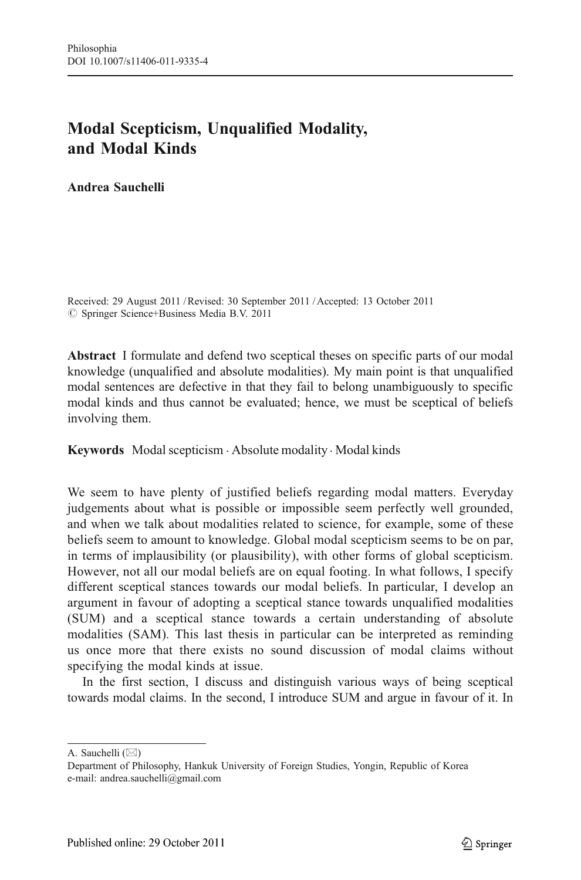# Modal Scepticism, Unqualified Modality, and Modal Kinds

Andrea Sauchelli

Received: 29 August 2011 /Revised: 30 September 2011 / Accepted: 13 October 2011  $\circ$  Springer Science+Business Media B.V. 2011

Abstract I formulate and defend two sceptical theses on specific parts of our modal knowledge (unqualified and absolute modalities). My main point is that unqualified modal sentences are defective in that they fail to belong unambiguously to specific modal kinds and thus cannot be evaluated; hence, we must be sceptical of beliefs involving them.

Keywords Modal scepticism . Absolute modality . Modal kinds

We seem to have plenty of justified beliefs regarding modal matters. Everyday judgements about what is possible or impossible seem perfectly well grounded, and when we talk about modalities related to science, for example, some of these beliefs seem to amount to knowledge. Global modal scepticism seems to be on par, in terms of implausibility (or plausibility), with other forms of global scepticism. However, not all our modal beliefs are on equal footing. In what follows, I specify different sceptical stances towards our modal beliefs. In particular, I develop an argument in favour of adopting a sceptical stance towards unqualified modalities (SUM) and a sceptical stance towards a certain understanding of absolute modalities (SAM). This last thesis in particular can be interpreted as reminding us once more that there exists no sound discussion of modal claims without specifying the modal kinds at issue.

In the first section, I discuss and distinguish various ways of being sceptical towards modal claims. In the second, I introduce SUM and argue in favour of it. In

A. Sauchelli  $(\boxtimes)$ 

Department of Philosophy, Hankuk University of Foreign Studies, Yongin, Republic of Korea e-mail: andrea.sauchelli@gmail.com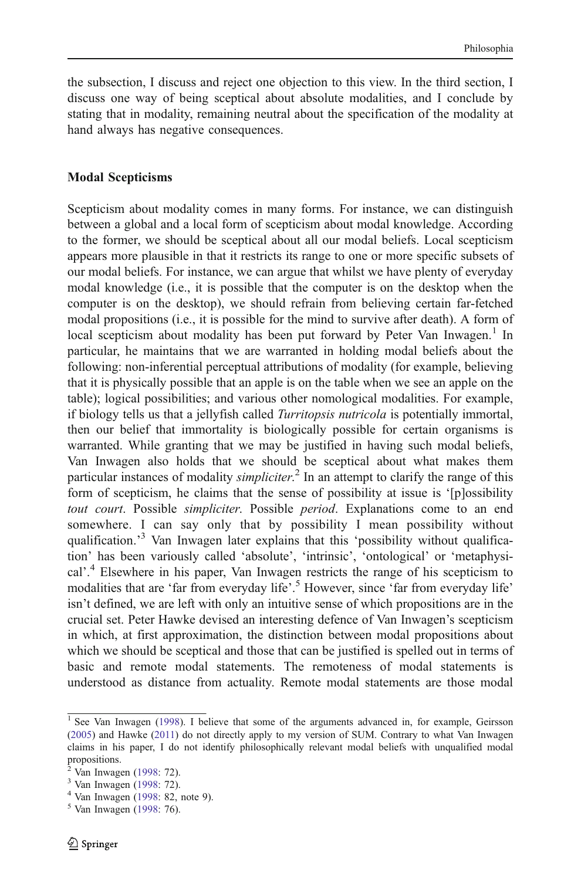the subsection, I discuss and reject one objection to this view. In the third section, I discuss one way of being sceptical about absolute modalities, and I conclude by stating that in modality, remaining neutral about the specification of the modality at hand always has negative consequences.

## Modal Scepticisms

Scepticism about modality comes in many forms. For instance, we can distinguish between a global and a local form of scepticism about modal knowledge. According to the former, we should be sceptical about all our modal beliefs. Local scepticism appears more plausible in that it restricts its range to one or more specific subsets of our modal beliefs. For instance, we can argue that whilst we have plenty of everyday modal knowledge (i.e., it is possible that the computer is on the desktop when the computer is on the desktop), we should refrain from believing certain far-fetched modal propositions (i.e., it is possible for the mind to survive after death). A form of local scepticism about modality has been put forward by Peter Van Inwagen.<sup>1</sup> In particular, he maintains that we are warranted in holding modal beliefs about the following: non-inferential perceptual attributions of modality (for example, believing that it is physically possible that an apple is on the table when we see an apple on the table); logical possibilities; and various other nomological modalities. For example, if biology tells us that a jellyfish called Turritopsis nutricola is potentially immortal, then our belief that immortality is biologically possible for certain organisms is warranted. While granting that we may be justified in having such modal beliefs, Van Inwagen also holds that we should be sceptical about what makes them particular instances of modality *simpliciter*.<sup>2</sup> In an attempt to clarify the range of this form of scepticism, he claims that the sense of possibility at issue is '[p]ossibility tout court. Possible simpliciter. Possible period. Explanations come to an end somewhere. I can say only that by possibility I mean possibility without qualification.' <sup>3</sup> Van Inwagen later explains that this 'possibility without qualification' has been variously called 'absolute', 'intrinsic', 'ontological' or 'metaphysical'. <sup>4</sup> Elsewhere in his paper, Van Inwagen restricts the range of his scepticism to modalities that are 'far from everyday life'. <sup>5</sup> However, since 'far from everyday life' isn't defined, we are left with only an intuitive sense of which propositions are in the crucial set. Peter Hawke devised an interesting defence of Van Inwagen's scepticism in which, at first approximation, the distinction between modal propositions about which we should be sceptical and those that can be justified is spelled out in terms of basic and remote modal statements. The remoteness of modal statements is understood as distance from actuality. Remote modal statements are those modal

 $\sqrt{1}$  See Van Inwagen [\(1998](#page-6-0)). I believe that some of the arguments advanced in, for example, Geirsson ([2005\)](#page-6-0) and Hawke ([2011\)](#page-6-0) do not directly apply to my version of SUM. Contrary to what Van Inwagen claims in his paper, I do not identify philosophically relevant modal beliefs with unqualified modal propositions.<br><sup>2</sup> Van Inwagen (1998: 72).

<sup>&</sup>lt;sup>3</sup> Van Inwagen ([1998:](#page-6-0) 72).<br><sup>4</sup> Van Inwagen (1998: 82, note 9).<br><sup>5</sup> Van Inwagen (1998: 76).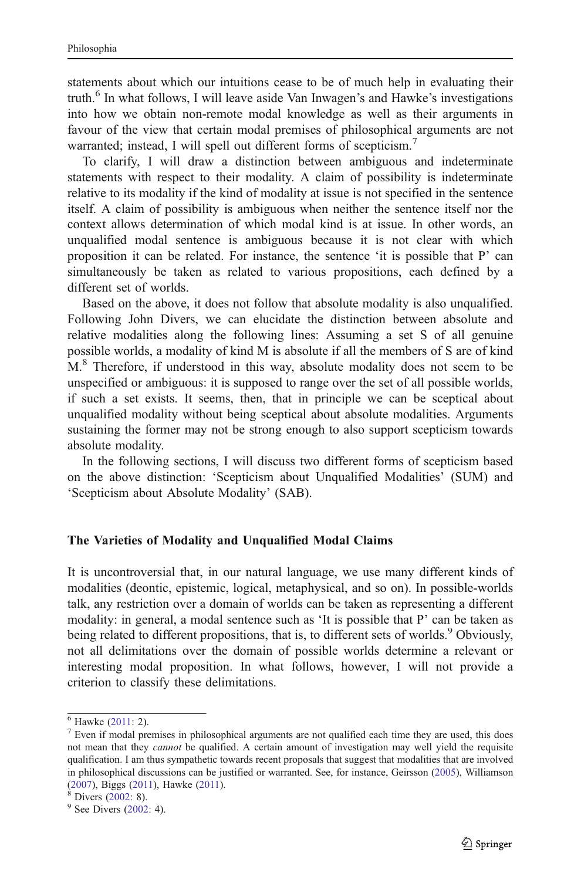statements about which our intuitions cease to be of much help in evaluating their truth.<sup>6</sup> In what follows, I will leave aside Van Inwagen's and Hawke's investigations into how we obtain non-remote modal knowledge as well as their arguments in favour of the view that certain modal premises of philosophical arguments are not warranted; instead, I will spell out different forms of scepticism.<sup>7</sup>

To clarify, I will draw a distinction between ambiguous and indeterminate statements with respect to their modality. A claim of possibility is indeterminate relative to its modality if the kind of modality at issue is not specified in the sentence itself. A claim of possibility is ambiguous when neither the sentence itself nor the context allows determination of which modal kind is at issue. In other words, an unqualified modal sentence is ambiguous because it is not clear with which proposition it can be related. For instance, the sentence 'it is possible that P' can simultaneously be taken as related to various propositions, each defined by a different set of worlds.

Based on the above, it does not follow that absolute modality is also unqualified. Following John Divers, we can elucidate the distinction between absolute and relative modalities along the following lines: Assuming a set S of all genuine possible worlds, a modality of kind M is absolute if all the members of S are of kind M.<sup>8</sup> Therefore, if understood in this way, absolute modality does not seem to be unspecified or ambiguous: it is supposed to range over the set of all possible worlds, if such a set exists. It seems, then, that in principle we can be sceptical about unqualified modality without being sceptical about absolute modalities. Arguments sustaining the former may not be strong enough to also support scepticism towards absolute modality.

In the following sections, I will discuss two different forms of scepticism based on the above distinction: 'Scepticism about Unqualified Modalities' (SUM) and 'Scepticism about Absolute Modality' (SAB).

## The Varieties of Modality and Unqualified Modal Claims

It is uncontroversial that, in our natural language, we use many different kinds of modalities (deontic, epistemic, logical, metaphysical, and so on). In possible-worlds talk, any restriction over a domain of worlds can be taken as representing a different modality: in general, a modal sentence such as 'It is possible that P' can be taken as being related to different propositions, that is, to different sets of worlds.<sup>9</sup> Obviously, not all delimitations over the domain of possible worlds determine a relevant or interesting modal proposition. In what follows, however, I will not provide a criterion to classify these delimitations.

 $\frac{6}{7}$  Hawke ([2011:](#page-6-0) 2).<br><sup>7</sup> Even if modal premises in philosophical arguments are not qualified each time they are used, this does not mean that they *cannot* be qualified. A certain amount of investigation may well yield the requisite qualification. I am thus sympathetic towards recent proposals that suggest that modalities that are involved in philosophical discussions can be justified or warranted. See, for instance, Geirsson [\(2005\)](#page-6-0), Williamson ([2007\)](#page-6-0), Biggs [\(2011\)](#page-6-0), Hawke ([2011](#page-6-0)).<br><sup>8</sup> Divers [\(2002](#page-6-0): 8). 9 See Divers (2002: 4).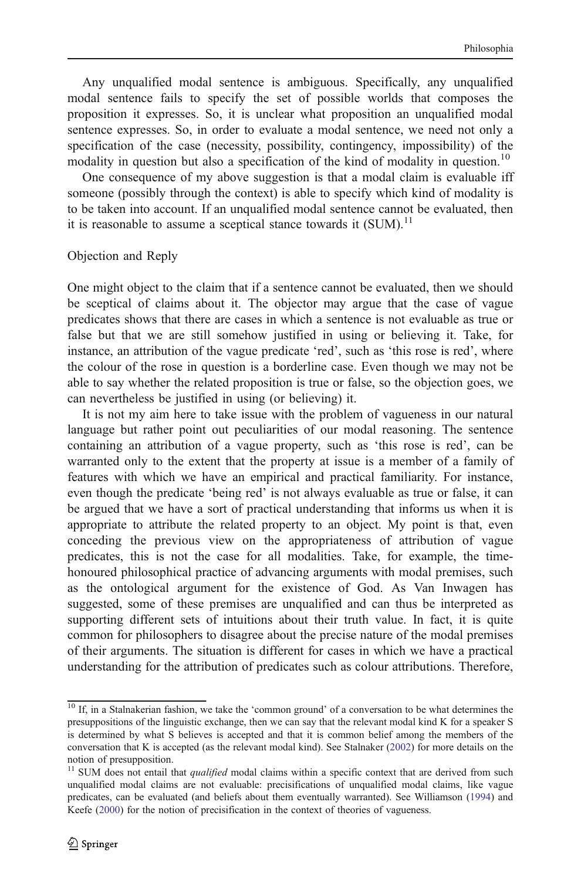Any unqualified modal sentence is ambiguous. Specifically, any unqualified modal sentence fails to specify the set of possible worlds that composes the proposition it expresses. So, it is unclear what proposition an unqualified modal sentence expresses. So, in order to evaluate a modal sentence, we need not only a specification of the case (necessity, possibility, contingency, impossibility) of the modality in question but also a specification of the kind of modality in question.<sup>10</sup>

One consequence of my above suggestion is that a modal claim is evaluable iff someone (possibly through the context) is able to specify which kind of modality is to be taken into account. If an unqualified modal sentence cannot be evaluated, then it is reasonable to assume a sceptical stance towards it  $(SUM)^{11}$ 

#### Objection and Reply

One might object to the claim that if a sentence cannot be evaluated, then we should be sceptical of claims about it. The objector may argue that the case of vague predicates shows that there are cases in which a sentence is not evaluable as true or false but that we are still somehow justified in using or believing it. Take, for instance, an attribution of the vague predicate 'red', such as 'this rose is red', where the colour of the rose in question is a borderline case. Even though we may not be able to say whether the related proposition is true or false, so the objection goes, we can nevertheless be justified in using (or believing) it.

It is not my aim here to take issue with the problem of vagueness in our natural language but rather point out peculiarities of our modal reasoning. The sentence containing an attribution of a vague property, such as 'this rose is red', can be warranted only to the extent that the property at issue is a member of a family of features with which we have an empirical and practical familiarity. For instance, even though the predicate 'being red' is not always evaluable as true or false, it can be argued that we have a sort of practical understanding that informs us when it is appropriate to attribute the related property to an object. My point is that, even conceding the previous view on the appropriateness of attribution of vague predicates, this is not the case for all modalities. Take, for example, the timehonoured philosophical practice of advancing arguments with modal premises, such as the ontological argument for the existence of God. As Van Inwagen has suggested, some of these premises are unqualified and can thus be interpreted as supporting different sets of intuitions about their truth value. In fact, it is quite common for philosophers to disagree about the precise nature of the modal premises of their arguments. The situation is different for cases in which we have a practical understanding for the attribution of predicates such as colour attributions. Therefore,

<sup>&</sup>lt;sup>10</sup> If, in a Stalnakerian fashion, we take the 'common ground' of a conversation to be what determines the presuppositions of the linguistic exchange, then we can say that the relevant modal kind K for a speaker S is determined by what S believes is accepted and that it is common belief among the members of the conversation that K is accepted (as the relevant modal kind). See Stalnaker [\(2002\)](#page-6-0) for more details on the notion of presupposition.

<sup>&</sup>lt;sup>11</sup> SUM does not entail that *qualified* modal claims within a specific context that are derived from such unqualified modal claims are not evaluable: precisifications of unqualified modal claims, like vague predicates, can be evaluated (and beliefs about them eventually warranted). See Williamson ([1994](#page-6-0)) and Keefe ([2000\)](#page-6-0) for the notion of precisification in the context of theories of vagueness.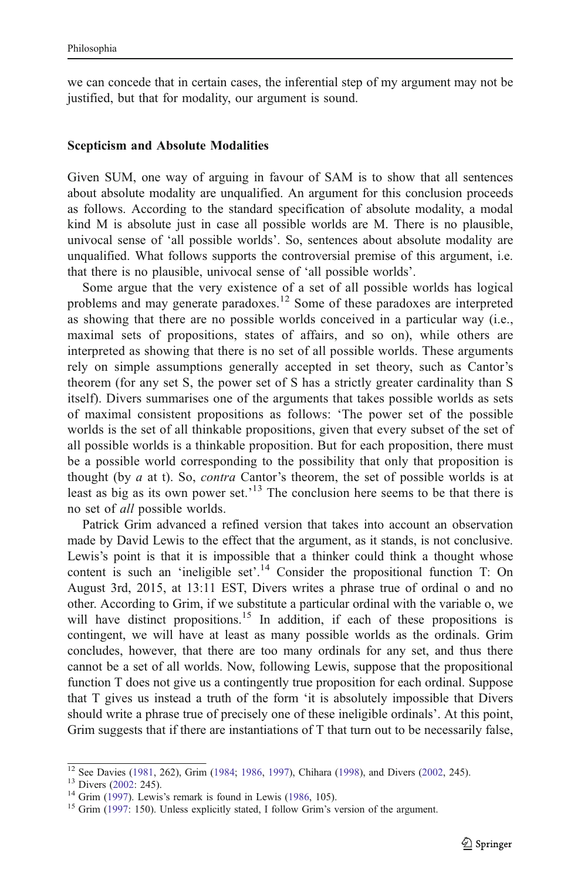we can concede that in certain cases, the inferential step of my argument may not be justified, but that for modality, our argument is sound.

#### Scepticism and Absolute Modalities

Given SUM, one way of arguing in favour of SAM is to show that all sentences about absolute modality are unqualified. An argument for this conclusion proceeds as follows. According to the standard specification of absolute modality, a modal kind M is absolute just in case all possible worlds are M. There is no plausible, univocal sense of 'all possible worlds'. So, sentences about absolute modality are unqualified. What follows supports the controversial premise of this argument, i.e. that there is no plausible, univocal sense of 'all possible worlds'.

Some argue that the very existence of a set of all possible worlds has logical problems and may generate paradoxes.<sup>12</sup> Some of these paradoxes are interpreted as showing that there are no possible worlds conceived in a particular way (i.e., maximal sets of propositions, states of affairs, and so on), while others are interpreted as showing that there is no set of all possible worlds. These arguments rely on simple assumptions generally accepted in set theory, such as Cantor's theorem (for any set S, the power set of S has a strictly greater cardinality than S itself). Divers summarises one of the arguments that takes possible worlds as sets of maximal consistent propositions as follows: 'The power set of the possible worlds is the set of all thinkable propositions, given that every subset of the set of all possible worlds is a thinkable proposition. But for each proposition, there must be a possible world corresponding to the possibility that only that proposition is thought (by *a* at t). So, *contra* Cantor's theorem, the set of possible worlds is at least as big as its own power set.<sup>13</sup> The conclusion here seems to be that there is no set of all possible worlds.

Patrick Grim advanced a refined version that takes into account an observation made by David Lewis to the effect that the argument, as it stands, is not conclusive. Lewis's point is that it is impossible that a thinker could think a thought whose content is such an 'ineligible set'.<sup>14</sup> Consider the propositional function T: On August 3rd, 2015, at 13:11 EST, Divers writes a phrase true of ordinal o and no other. According to Grim, if we substitute a particular ordinal with the variable o, we will have distinct propositions.<sup>15</sup> In addition, if each of these propositions is contingent, we will have at least as many possible worlds as the ordinals. Grim concludes, however, that there are too many ordinals for any set, and thus there cannot be a set of all worlds. Now, following Lewis, suppose that the propositional function T does not give us a contingently true proposition for each ordinal. Suppose that T gives us instead a truth of the form 'it is absolutely impossible that Divers should write a phrase true of precisely one of these ineligible ordinals'. At this point, Grim suggests that if there are instantiations of T that turn out to be necessarily false,

<sup>&</sup>lt;sup>12</sup> See Davies [\(1981](#page-6-0), 262), Grim ([1984;](#page-6-0) [1986](#page-6-0), [1997\)](#page-6-0), Chihara [\(1998](#page-6-0)), and Divers [\(2002](#page-6-0), 245).<br><sup>13</sup> Divers (2002: 245).<br><sup>14</sup> Grim [\(1997](#page-6-0)). Lewis's remark is found in Lewis [\(1986](#page-6-0), 105).<br><sup>15</sup> Grim (1997: 150). Unless explicit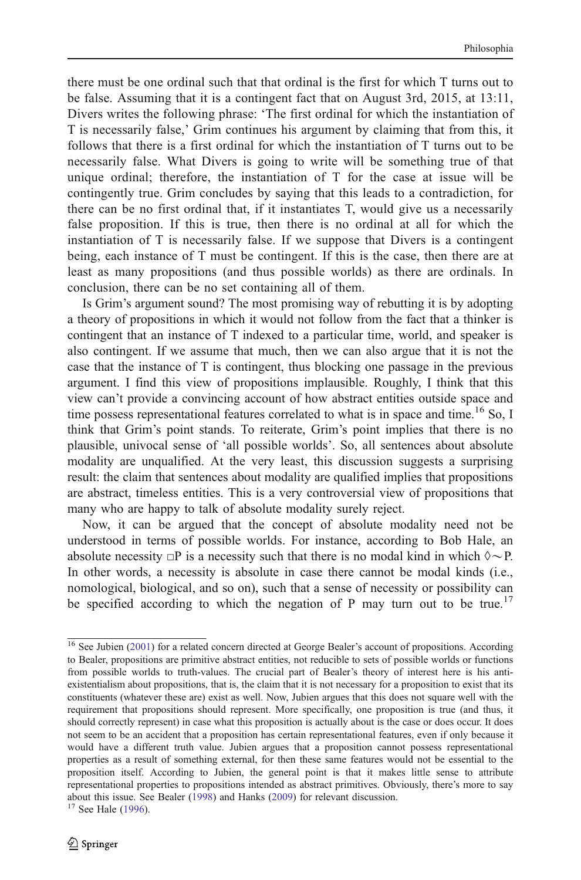there must be one ordinal such that that ordinal is the first for which T turns out to be false. Assuming that it is a contingent fact that on August 3rd, 2015, at 13:11, Divers writes the following phrase: 'The first ordinal for which the instantiation of T is necessarily false,' Grim continues his argument by claiming that from this, it follows that there is a first ordinal for which the instantiation of T turns out to be necessarily false. What Divers is going to write will be something true of that unique ordinal; therefore, the instantiation of T for the case at issue will be contingently true. Grim concludes by saying that this leads to a contradiction, for there can be no first ordinal that, if it instantiates T, would give us a necessarily false proposition. If this is true, then there is no ordinal at all for which the instantiation of T is necessarily false. If we suppose that Divers is a contingent being, each instance of T must be contingent. If this is the case, then there are at least as many propositions (and thus possible worlds) as there are ordinals. In conclusion, there can be no set containing all of them.

Is Grim's argument sound? The most promising way of rebutting it is by adopting a theory of propositions in which it would not follow from the fact that a thinker is contingent that an instance of T indexed to a particular time, world, and speaker is also contingent. If we assume that much, then we can also argue that it is not the case that the instance of T is contingent, thus blocking one passage in the previous argument. I find this view of propositions implausible. Roughly, I think that this view can't provide a convincing account of how abstract entities outside space and time possess representational features correlated to what is in space and time.<sup>16</sup> So, I think that Grim's point stands. To reiterate, Grim's point implies that there is no plausible, univocal sense of 'all possible worlds'. So, all sentences about absolute modality are unqualified. At the very least, this discussion suggests a surprising result: the claim that sentences about modality are qualified implies that propositions are abstract, timeless entities. This is a very controversial view of propositions that many who are happy to talk of absolute modality surely reject.

Now, it can be argued that the concept of absolute modality need not be understood in terms of possible worlds. For instance, according to Bob Hale, an absolute necessity  $\Box P$  is a necessity such that there is no modal kind in which  $\Diamond \sim P$ . In other words, a necessity is absolute in case there cannot be modal kinds (i.e., nomological, biological, and so on), such that a sense of necessity or possibility can be specified according to which the negation of P may turn out to be true.<sup>17</sup>

<sup>&</sup>lt;sup>16</sup> See Jubien [\(2001](#page-6-0)) for a related concern directed at George Bealer's account of propositions. According to Bealer, propositions are primitive abstract entities, not reducible to sets of possible worlds or functions from possible worlds to truth-values. The crucial part of Bealer's theory of interest here is his antiexistentialism about propositions, that is, the claim that it is not necessary for a proposition to exist that its constituents (whatever these are) exist as well. Now, Jubien argues that this does not square well with the requirement that propositions should represent. More specifically, one proposition is true (and thus, it should correctly represent) in case what this proposition is actually about is the case or does occur. It does not seem to be an accident that a proposition has certain representational features, even if only because it would have a different truth value. Jubien argues that a proposition cannot possess representational properties as a result of something external, for then these same features would not be essential to the proposition itself. According to Jubien, the general point is that it makes little sense to attribute representational properties to propositions intended as abstract primitives. Obviously, there's more to say about this issue. See Bealer [\(1998](#page-6-0)) and Hanks ([2009\)](#page-6-0) for relevant discussion. <sup>17</sup> See Hale [\(1996](#page-6-0)).